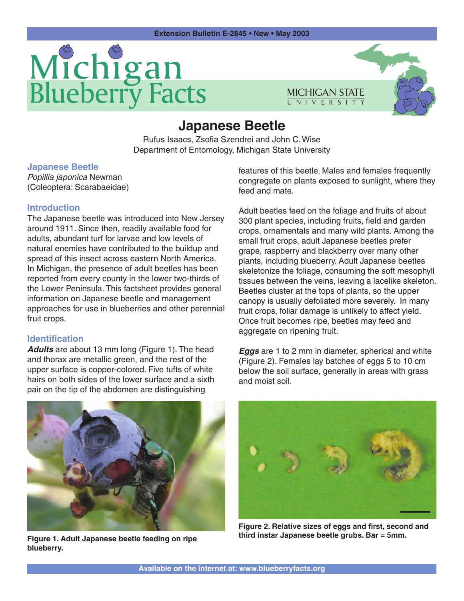# Michigan<br>Blueberry Facts



# **Japanese Beetle**

Rufus Isaacs, Zsofia Szendrei and John C. Wise Department of Entomology, Michigan State University

# **Japanese Beetle**

Popillia japonica Newman (Coleoptera: Scarabaeidae)

#### **Introduction**

The Japanese beetle was introduced into New Jersey around 1911. Since then, readily available food for adults, abundant turf for larvae and low levels of natural enemies have contributed to the buildup and spread of this insect across eastern North America. In Michigan, the presence of adult beetles has been reported from every county in the lower two-thirds of the Lower Peninsula. This factsheet provides general information on Japanese beetle and management approaches for use in blueberries and other perennial fruit crops.

#### **Identification**

**Adults** are about 13 mm long (Figure 1). The head and thorax are metallic green, and the rest of the upper surface is copper-colored. Five tufts of white hairs on both sides of the lower surface and a sixth pair on the tip of the abdomen are distinguishing

features of this beetle. Males and females frequently congregate on plants exposed to sunlight, where they feed and mate.

Adult beetles feed on the foliage and fruits of about 300 plant species, including fruits, field and garden crops, ornamentals and many wild plants. Among the small fruit crops, adult Japanese beetles prefer grape, raspberry and blackberry over many other plants, including blueberry. Adult Japanese beetles skeletonize the foliage, consuming the soft mesophyll tissues between the veins, leaving a lacelike skeleton. Beetles cluster at the tops of plants, so the upper canopy is usually defoliated more severely. In many fruit crops, foliar damage is unlikely to affect yield. Once fruit becomes ripe, beetles may feed and aggregate on ripening fruit.

**Eggs** are 1 to 2 mm in diameter, spherical and white (Figure 2). Females lay batches of eggs 5 to 10 cm below the soil surface, generally in areas with grass and moist soil.



**Figure 1. Adult Japanese beetle feeding on ripe blueberry.**



**Figure 2. Relative sizes of eggs and first, second and third instar Japanese beetle grubs. Bar = 5mm.**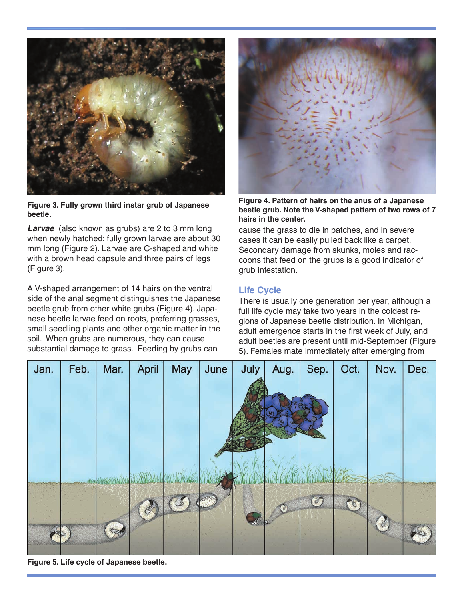![](_page_1_Picture_0.jpeg)

**Figure 3. Fully grown third instar grub of Japanese beetle.**

**Larvae** (also known as grubs) are 2 to 3 mm long when newly hatched; fully grown larvae are about 30 mm long (Figure 2). Larvae are C-shaped and white with a brown head capsule and three pairs of legs (Figure 3).

A V-shaped arrangement of 14 hairs on the ventral side of the anal segment distinguishes the Japanese beetle grub from other white grubs (Figure 4). Japanese beetle larvae feed on roots, preferring grasses, small seedling plants and other organic matter in the soil. When grubs are numerous, they can cause substantial damage to grass. Feeding by grubs can

![](_page_1_Picture_4.jpeg)

**Figure 4. Pattern of hairs on the anus of a Japanese beetle grub. Note the V-shaped pattern of two rows of 7 hairs in the center.**

cause the grass to die in patches, and in severe cases it can be easily pulled back like a carpet. Secondary damage from skunks, moles and raccoons that feed on the grubs is a good indicator of grub infestation.

# **Life Cycle**

There is usually one generation per year, although a full life cycle may take two years in the coldest regions of Japanese beetle distribution. In Michigan, adult emergence starts in the first week of July, and adult beetles are present until mid-September (Figure 5). Females mate immediately after emerging from

![](_page_1_Picture_9.jpeg)

**Figure 5. Life cycle of Japanese beetle.**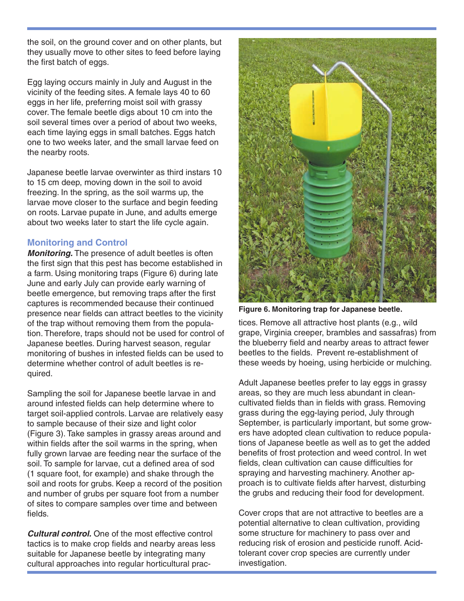the soil, on the ground cover and on other plants, but they usually move to other sites to feed before laying the first batch of eggs.

Egg laying occurs mainly in July and August in the vicinity of the feeding sites. A female lays 40 to 60 eggs in her life, preferring moist soil with grassy cover. The female beetle digs about 10 cm into the soil several times over a period of about two weeks, each time laying eggs in small batches. Eggs hatch one to two weeks later, and the small larvae feed on the nearby roots.

Japanese beetle larvae overwinter as third instars 10 to 15 cm deep, moving down in the soil to avoid freezing. In the spring, as the soil warms up, the larvae move closer to the surface and begin feeding on roots. Larvae pupate in June, and adults emerge about two weeks later to start the life cycle again.

# **Monitoring and Control**

**Monitoring.** The presence of adult beetles is often the first sign that this pest has become established in a farm. Using monitoring traps (Figure 6) during late June and early July can provide early warning of beetle emergence, but removing traps after the first captures is recommended because their continued presence near fields can attract beetles to the vicinity of the trap without removing them from the population. Therefore, traps should not be used for control of Japanese beetles. During harvest season, regular monitoring of bushes in infested fields can be used to determine whether control of adult beetles is required.

Sampling the soil for Japanese beetle larvae in and around infested fields can help determine where to target soil-applied controls. Larvae are relatively easy to sample because of their size and light color (Figure 3). Take samples in grassy areas around and within fields after the soil warms in the spring, when fully grown larvae are feeding near the surface of the soil. To sample for larvae, cut a defined area of sod (1 square foot, for example) and shake through the soil and roots for grubs. Keep a record of the position and number of grubs per square foot from a number of sites to compare samples over time and between fields.

**Cultural control.** One of the most effective control tactics is to make crop fields and nearby areas less suitable for Japanese beetle by integrating many cultural approaches into regular horticultural prac-

![](_page_2_Picture_7.jpeg)

**Figure 6. Monitoring trap for Japanese beetle.**

tices. Remove all attractive host plants (e.g., wild grape, Virginia creeper, brambles and sassafras) from the blueberry field and nearby areas to attract fewer beetles to the fields. Prevent re-establishment of these weeds by hoeing, using herbicide or mulching.

Adult Japanese beetles prefer to lay eggs in grassy areas, so they are much less abundant in cleancultivated fields than in fields with grass. Removing grass during the egg-laying period, July through September, is particularly important, but some growers have adopted clean cultivation to reduce populations of Japanese beetle as well as to get the added benefits of frost protection and weed control. In wet fields, clean cultivation can cause difficulties for spraying and harvesting machinery. Another approach is to cultivate fields after harvest, disturbing the grubs and reducing their food for development.

Cover crops that are not attractive to beetles are a potential alternative to clean cultivation, providing some structure for machinery to pass over and reducing risk of erosion and pesticide runoff. Acidtolerant cover crop species are currently under investigation.